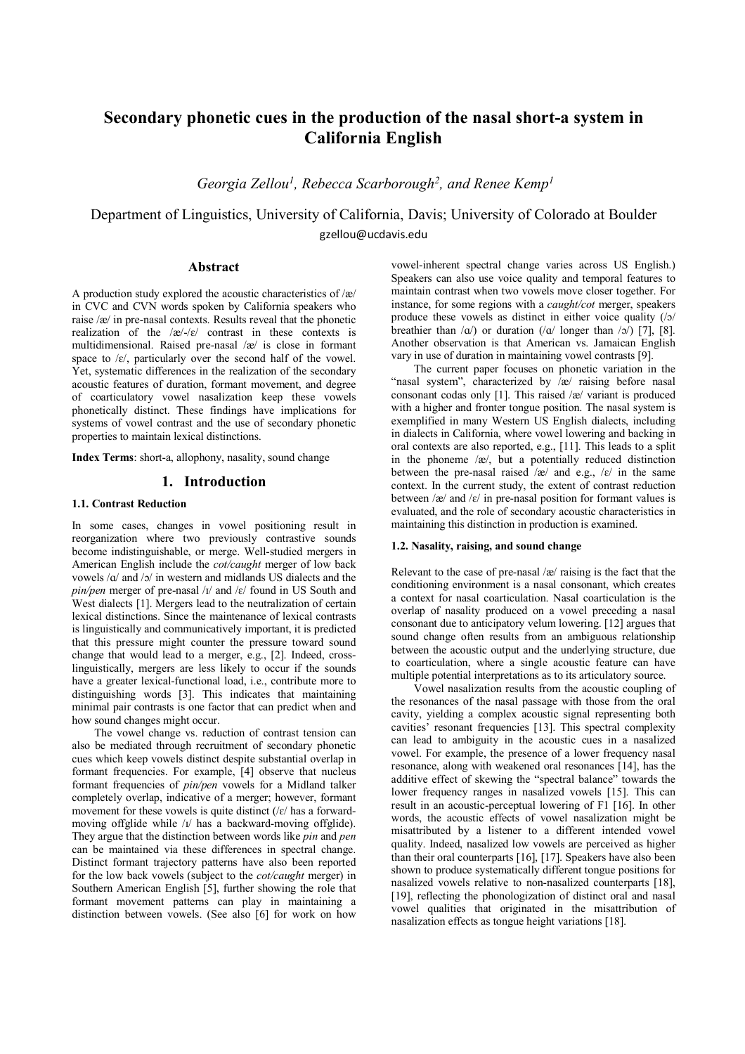# **Secondary phonetic cues in the production of the nasal short-a system in California English**

Georgia Zellou<sup>1</sup>, Rebecca Scarborough<sup>2</sup>, and Renee Kemp<sup>1</sup>

Department of Linguistics, University of California, Davis; University of Colorado at Boulder gzellou@ucdavis.edu

# **Abstract**

A production study explored the acoustic characteristics of /æ/ in CVC and CVN words spoken by California speakers who raise /æ/ in pre-nasal contexts. Results reveal that the phonetic realization of the  $\alpha$ -/ $\varepsilon$  contrast in these contexts is multidimensional. Raised pre-nasal /æ/ is close in formant space to  $\mathcal{E}$ , particularly over the second half of the vowel. Yet, systematic differences in the realization of the secondary acoustic features of duration, formant movement, and degree of coarticulatory vowel nasalization keep these vowels phonetically distinct. These findings have implications for systems of vowel contrast and the use of secondary phonetic properties to maintain lexical distinctions.

**Index Terms**: short-a, allophony, nasality, sound change

# **1. Introduction**

## **1.1. Contrast Reduction**

In some cases, changes in vowel positioning result in reorganization where two previously contrastive sounds become indistinguishable, or merge. Well-studied mergers in American English include the *cot/caught* merger of low back vowels /ɑ/ and /ɔ/ in western and midlands US dialects and the *pin/pen* merger of pre-nasal /ɪ/ and /ɛ/ found in US South and West dialects [1]. Mergers lead to the neutralization of certain lexical distinctions. Since the maintenance of lexical contrasts is linguistically and communicatively important, it is predicted that this pressure might counter the pressure toward sound change that would lead to a merger, e.g., [2]. Indeed, crosslinguistically, mergers are less likely to occur if the sounds have a greater lexical-functional load, i.e., contribute more to distinguishing words [3]. This indicates that maintaining minimal pair contrasts is one factor that can predict when and how sound changes might occur.

The vowel change vs. reduction of contrast tension can also be mediated through recruitment of secondary phonetic cues which keep vowels distinct despite substantial overlap in formant frequencies. For example, [4] observe that nucleus formant frequencies of *pin/pen* vowels for a Midland talker completely overlap, indicative of a merger; however, formant movement for these vowels is quite distinct  $(|\varepsilon|)$  has a forwardmoving offglide while /ɪ/ has a backward-moving offglide). They argue that the distinction between words like *pin* and *pen* can be maintained via these differences in spectral change. Distinct formant trajectory patterns have also been reported for the low back vowels (subject to the *cot/caught* merger) in Southern American English [5], further showing the role that formant movement patterns can play in maintaining a distinction between vowels. (See also [6] for work on how

vowel-inherent spectral change varies across US English.) Speakers can also use voice quality and temporal features to maintain contrast when two vowels move closer together. For instance, for some regions with a *caught/cot* merger, speakers produce these vowels as distinct in either voice quality (/ɔ/ breathier than  $\alpha$ ) or duration ( $\alpha$ ) longer than  $\alpha$ ) [7], [8]. Another observation is that American vs. Jamaican English vary in use of duration in maintaining vowel contrasts [9].

The current paper focuses on phonetic variation in the "nasal system", characterized by  $\overline{e}$  raising before nasal consonant codas only [1]. This raised /æ/ variant is produced with a higher and fronter tongue position. The nasal system is exemplified in many Western US English dialects, including in dialects in California, where vowel lowering and backing in oral contexts are also reported, e.g., [11]. This leads to a split in the phoneme /æ/, but a potentially reduced distinction between the pre-nasal raised  $\alpha$  and e.g.,  $\alpha$  in the same context. In the current study, the extent of contrast reduction between  $\alpha$  and  $\epsilon$  in pre-nasal position for formant values is evaluated, and the role of secondary acoustic characteristics in maintaining this distinction in production is examined.

#### **1.2. Nasality, raising, and sound change**

Relevant to the case of pre-nasal /æ/ raising is the fact that the conditioning environment is a nasal consonant, which creates a context for nasal coarticulation. Nasal coarticulation is the overlap of nasality produced on a vowel preceding a nasal consonant due to anticipatory velum lowering. [12] argues that sound change often results from an ambiguous relationship between the acoustic output and the underlying structure, due to coarticulation, where a single acoustic feature can have multiple potential interpretations as to its articulatory source.

Vowel nasalization results from the acoustic coupling of the resonances of the nasal passage with those from the oral cavity, yielding a complex acoustic signal representing both cavities' resonant frequencies [13]. This spectral complexity can lead to ambiguity in the acoustic cues in a nasalized vowel. For example, the presence of a lower frequency nasal resonance, along with weakened oral resonances [14], has the additive effect of skewing the "spectral balance" towards the lower frequency ranges in nasalized vowels [15]. This can result in an acoustic-perceptual lowering of F1 [16]. In other words, the acoustic effects of vowel nasalization might be misattributed by a listener to a different intended vowel quality. Indeed, nasalized low vowels are perceived as higher than their oral counterparts [16], [17]. Speakers have also been shown to produce systematically different tongue positions for nasalized vowels relative to non-nasalized counterparts [18], [19], reflecting the phonologization of distinct oral and nasal vowel qualities that originated in the misattribution of nasalization effects as tongue height variations [18].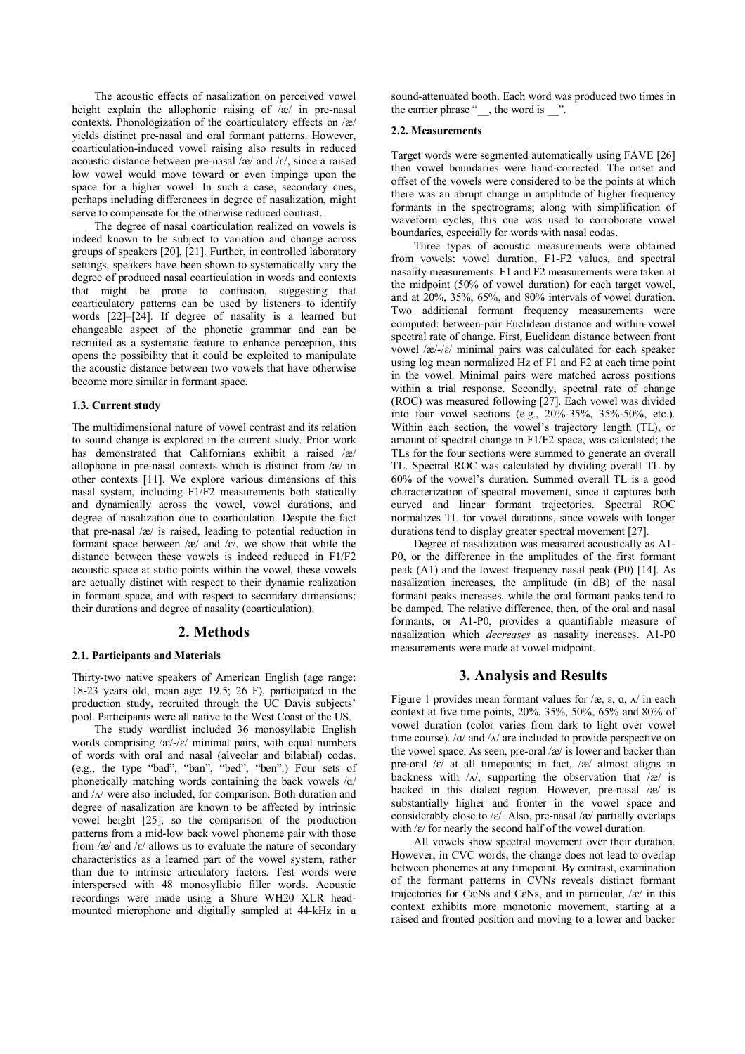The acoustic effects of nasalization on perceived vowel height explain the allophonic raising of /æ/ in pre-nasal contexts. Phonologization of the coarticulatory effects on /æ/ yields distinct pre-nasal and oral formant patterns. However, coarticulation-induced vowel raising also results in reduced acoustic distance between pre-nasal  $\alpha$  and  $\beta$ , since a raised low vowel would move toward or even impinge upon the space for a higher vowel. In such a case, secondary cues, perhaps including differences in degree of nasalization, might serve to compensate for the otherwise reduced contrast.

The degree of nasal coarticulation realized on vowels is indeed known to be subject to variation and change across groups of speakers [20], [21]. Further, in controlled laboratory settings, speakers have been shown to systematically vary the degree of produced nasal coarticulation in words and contexts that might be prone to confusion, suggesting that coarticulatory patterns can be used by listeners to identify words [22]–[24]. If degree of nasality is a learned but changeable aspect of the phonetic grammar and can be recruited as a systematic feature to enhance perception, this opens the possibility that it could be exploited to manipulate the acoustic distance between two vowels that have otherwise become more similar in formant space.

#### **1.3. Current study**

The multidimensional nature of vowel contrast and its relation to sound change is explored in the current study. Prior work has demonstrated that Californians exhibit a raised /æ/ allophone in pre-nasal contexts which is distinct from /æ/ in other contexts [11]. We explore various dimensions of this nasal system, including F1/F2 measurements both statically and dynamically across the vowel, vowel durations, and degree of nasalization due to coarticulation. Despite the fact that pre-nasal /æ/ is raised, leading to potential reduction in formant space between  $\alpha$  and  $\epsilon$ , we show that while the distance between these vowels is indeed reduced in F1/F2 acoustic space at static points within the vowel, these vowels are actually distinct with respect to their dynamic realization in formant space, and with respect to secondary dimensions: their durations and degree of nasality (coarticulation).

#### **2. Methods**

#### **2.1. Participants and Materials**

Thirty-two native speakers of American English (age range: 18-23 years old, mean age: 19.5; 26 F), participated in the production study, recruited through the UC Davis subjects' pool. Participants were all native to the West Coast of the US.

The study wordlist included 36 monosyllabic English words comprising  $\frac{z}{-c}$  minimal pairs, with equal numbers of words with oral and nasal (alveolar and bilabial) codas. (e.g., the type "bad", "ban", "bed", "ben".) Four sets of phonetically matching words containing the back vowels /ɑ/ and /ʌ/ were also included, for comparison. Both duration and degree of nasalization are known to be affected by intrinsic vowel height [25], so the comparison of the production patterns from a mid-low back vowel phoneme pair with those from  $\alpha$  and  $\epsilon$  allows us to evaluate the nature of secondary characteristics as a learned part of the vowel system, rather than due to intrinsic articulatory factors. Test words were interspersed with 48 monosyllabic filler words. Acoustic recordings were made using a Shure WH20 XLR headmounted microphone and digitally sampled at 44-kHz in a

sound-attenuated booth. Each word was produced two times in the carrier phrase " $\Box$ , the word is  $\Box$ ".

## **2.2. Measurements**

Target words were segmented automatically using FAVE [26] then vowel boundaries were hand-corrected. The onset and offset of the vowels were considered to be the points at which there was an abrupt change in amplitude of higher frequency formants in the spectrograms; along with simplification of waveform cycles, this cue was used to corroborate vowel boundaries, especially for words with nasal codas.

Three types of acoustic measurements were obtained from vowels: vowel duration, F1-F2 values, and spectral nasality measurements. F1 and F2 measurements were taken at the midpoint (50% of vowel duration) for each target vowel, and at 20%, 35%, 65%, and 80% intervals of vowel duration. Two additional formant frequency measurements were computed: between-pair Euclidean distance and within-vowel spectral rate of change. First, Euclidean distance between front vowel /æ/-/ɛ/ minimal pairs was calculated for each speaker using log mean normalized Hz of F1 and F2 at each time point in the vowel. Minimal pairs were matched across positions within a trial response. Secondly, spectral rate of change (ROC) was measured following [27]. Each vowel was divided into four vowel sections (e.g., 20%-35%, 35%-50%, etc.). Within each section, the vowel's trajectory length (TL), or amount of spectral change in F1/F2 space, was calculated; the TLs for the four sections were summed to generate an overall TL. Spectral ROC was calculated by dividing overall TL by 60% of the vowel's duration. Summed overall TL is a good characterization of spectral movement, since it captures both curved and linear formant trajectories. Spectral ROC normalizes TL for vowel durations, since vowels with longer durations tend to display greater spectral movement [27].

Degree of nasalization was measured acoustically as A1- P0, or the difference in the amplitudes of the first formant peak (A1) and the lowest frequency nasal peak (P0) [14]. As nasalization increases, the amplitude (in dB) of the nasal formant peaks increases, while the oral formant peaks tend to be damped. The relative difference, then, of the oral and nasal formants, or A1-P0, provides a quantifiable measure of nasalization which *decreases* as nasality increases. A1-P0 measurements were made at vowel midpoint.

## **3. Analysis and Results**

Figure 1 provides mean formant values for  $\alpha$ ,  $\varepsilon$ ,  $\alpha$ ,  $\alpha$  in each context at five time points, 20%, 35%, 50%, 65% and 80% of vowel duration (color varies from dark to light over vowel time course).  $\alpha$  and  $\alpha$  are included to provide perspective on the vowel space. As seen, pre-oral /æ/ is lower and backer than pre-oral  $\left|\varepsilon\right|$  at all timepoints; in fact,  $\left|\varepsilon\right|$  almost aligns in backness with  $/\lambda$ , supporting the observation that  $/\alpha$  is backed in this dialect region. However, pre-nasal /æ/ is substantially higher and fronter in the vowel space and considerably close to / $\varepsilon$ /. Also, pre-nasal /æ/ partially overlaps with  $\frac{\varepsilon}{\varepsilon}$  for nearly the second half of the vowel duration.

All vowels show spectral movement over their duration. However, in CVC words, the change does not lead to overlap between phonemes at any timepoint. By contrast, examination of the formant patterns in CVNs reveals distinct formant trajectories for CæNs and CɛNs, and in particular, /æ/ in this context exhibits more monotonic movement, starting at a raised and fronted position and moving to a lower and backer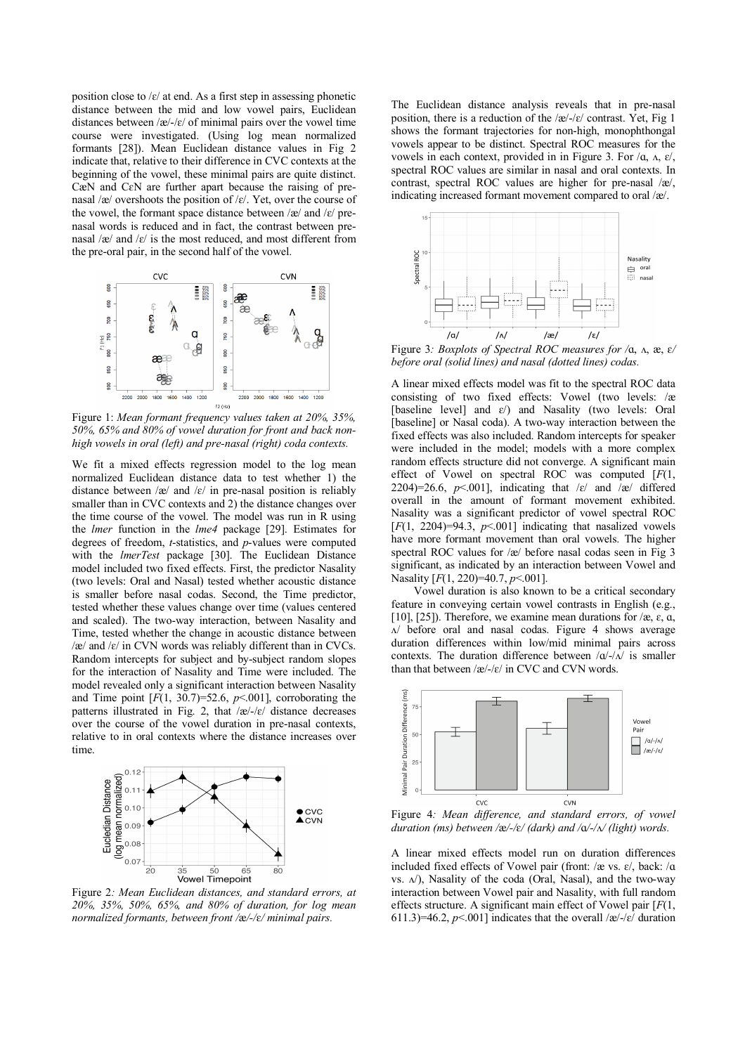position close to  $\frac{\xi}{\xi}$  at end. As a first step in assessing phonetic distance between the mid and low vowel pairs, Euclidean distances between  $\frac{\partial e}{\partial \xi}$  of minimal pairs over the vowel time course were investigated. (Using log mean normalized formants [28]). Mean Euclidean distance values in Fig 2 indicate that, relative to their difference in CVC contexts at the beginning of the vowel, these minimal pairs are quite distinct. CæN and CɛN are further apart because the raising of prenasal /æ/ overshoots the position of /ɛ/. Yet, over the course of the vowel, the formant space distance between  $\alpha$  and  $\alpha$  prenasal words is reduced and in fact, the contrast between prenasal /æ/ and /ɛ/ is the most reduced, and most different from the pre-oral pair, in the second half of the vowel.



Figure 1: *Mean formant frequency values taken at 20%, 35%, 50%, 65% and 80% of vowel duration for front and back nonhigh vowels in oral (left) and pre-nasal (right) coda contexts.*

We fit a mixed effects regression model to the log mean normalized Euclidean distance data to test whether 1) the distance between  $\alpha$  and  $\alpha$  in pre-nasal position is reliably smaller than in CVC contexts and 2) the distance changes over the time course of the vowel. The model was run in R using the *lmer* function in the *lme4* package [29]. Estimates for degrees of freedom, *t*-statistics, and *p*-values were computed with the *lmerTest* package [30]. The Euclidean Distance model included two fixed effects. First, the predictor Nasality (two levels: Oral and Nasal) tested whether acoustic distance is smaller before nasal codas. Second, the Time predictor, tested whether these values change over time (values centered and scaled). The two-way interaction, between Nasality and Time, tested whether the change in acoustic distance between  $\alpha$  and  $\epsilon$  in CVN words was reliably different than in CVCs. Random intercepts for subject and by-subject random slopes for the interaction of Nasality and Time were included. The model revealed only a significant interaction between Nasality and Time point  $[F(1, 30.7)=52.6, p<0.01]$ , corroborating the patterns illustrated in Fig. 2, that  $\sqrt{\frac{e}{-\epsilon}}$  distance decreases over the course of the vowel duration in pre-nasal contexts, relative to in oral contexts where the distance increases over time.



Figure 2*: Mean Euclidean distances, and standard errors, at 20%, 35%, 50%, 65%, and 80% of duration, for log mean normalized formants, between front /*æ*/-/*ɛ*/ minimal pairs.* 

The Euclidean distance analysis reveals that in pre-nasal position, there is a reduction of the  $\alpha$ -/ $\varepsilon$ / contrast. Yet, Fig 1 shows the formant trajectories for non-high, monophthongal vowels appear to be distinct. Spectral ROC measures for the vowels in each context, provided in in Figure 3. For  $/\alpha$ ,  $\alpha$ ,  $\varepsilon$ /, spectral ROC values are similar in nasal and oral contexts. In contrast, spectral ROC values are higher for pre-nasal /æ/, indicating increased formant movement compared to oral /æ/.



Figure 3*: Boxplots of Spectral ROC measures for /*ɑ, ʌ, æ, ɛ*/ before oral (solid lines) and nasal (dotted lines) codas.*

A linear mixed effects model was fit to the spectral ROC data consisting of two fixed effects: Vowel (two levels: /æ [baseline level] and ɛ/) and Nasality (two levels: Oral [baseline] or Nasal coda). A two-way interaction between the fixed effects was also included. Random intercepts for speaker were included in the model; models with a more complex random effects structure did not converge. A significant main effect of Vowel on spectral ROC was computed [*F*(1, 2204)=26.6,  $p \le 0.001$ ], indicating that  $\varepsilon$  and  $\alpha$  differed overall in the amount of formant movement exhibited. Nasality was a significant predictor of vowel spectral ROC  $[F(1, 2204)=94.3, p<0.01]$  indicating that nasalized vowels have more formant movement than oral vowels. The higher spectral ROC values for /æ/ before nasal codas seen in Fig 3 significant, as indicated by an interaction between Vowel and Nasality [*F*(1, 220)=40.7, *p*<.001].

Vowel duration is also known to be a critical secondary feature in conveying certain vowel contrasts in English (e.g., [10], [25]). Therefore, we examine mean durations for  $\alpha$ ,  $\varepsilon$ ,  $\alpha$ , ʌ/ before oral and nasal codas. Figure 4 shows average duration differences within low/mid minimal pairs across contexts. The duration difference between  $/\alpha / \alpha / i$  is smaller than that between /æ/-/ɛ/ in CVC and CVN words.



Figure 4*: Mean difference, and standard errors, of vowel duration (ms) between /*æ*/-/*ɛ*/ (dark) and /*ɑ*/-/*ʌ*/ (light) words.*

A linear mixed effects model run on duration differences included fixed effects of Vowel pair (front: /æ vs. ɛ/, back: /ɑ vs. ʌ/), Nasality of the coda (Oral, Nasal), and the two-way interaction between Vowel pair and Nasality, with full random effects structure. A significant main effect of Vowel pair [*F*(1, 611.3)=46.2,  $p<0.01$ ] indicates that the overall  $\alpha$ -/ $\varepsilon$ / duration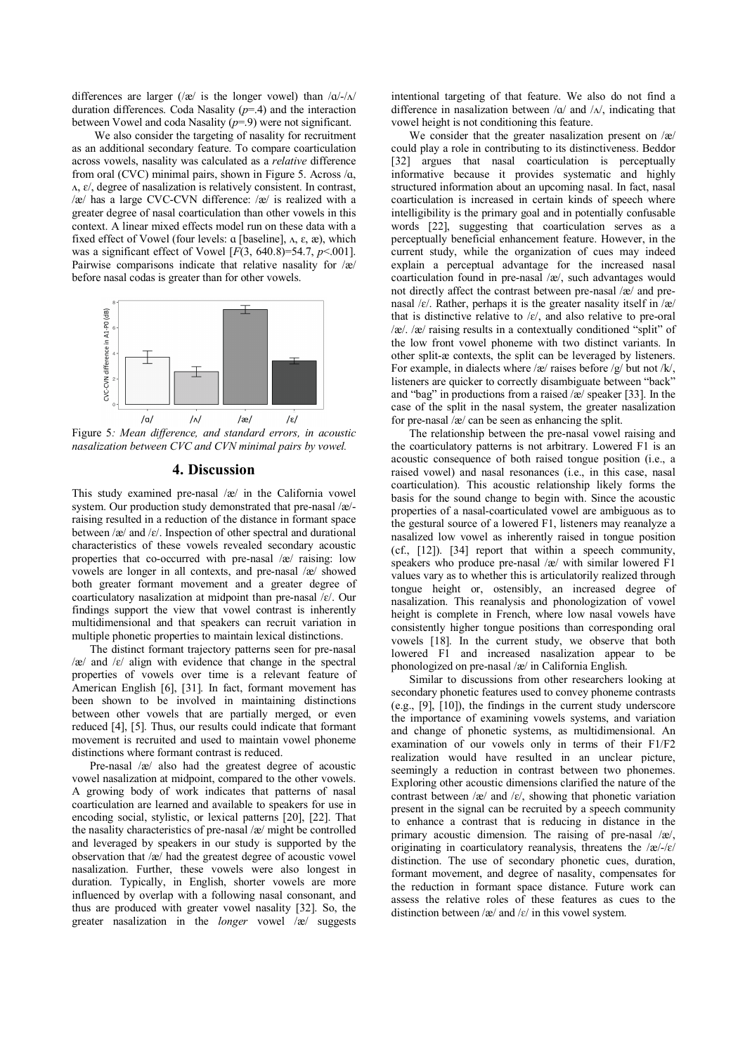differences are larger ( $\alpha$ ) is the longer vowel) than  $\alpha$ - $\alpha$ duration differences. Coda Nasality (*p*=.4) and the interaction between Vowel and coda Nasality  $(p=9)$  were not significant.

We also consider the targeting of nasality for recruitment as an additional secondary feature. To compare coarticulation across vowels, nasality was calculated as a *relative* difference from oral (CVC) minimal pairs, shown in Figure 5. Across  $\alpha$ , ʌ, ɛ/, degree of nasalization is relatively consistent. In contrast, /æ/ has a large CVC-CVN difference: /æ/ is realized with a greater degree of nasal coarticulation than other vowels in this context. A linear mixed effects model run on these data with a fixed effect of Vowel (four levels:  $\alpha$  [baseline],  $\alpha$ ,  $\varepsilon$ ,  $\alpha$ ), which was a significant effect of Vowel [*F*(3, 640.8)=54.7, *p*<.001]. Pairwise comparisons indicate that relative nasality for /æ/ before nasal codas is greater than for other vowels.



Figure 5*: Mean difference, and standard errors, in acoustic nasalization between CVC and CVN minimal pairs by vowel.* 

# **4. Discussion**

This study examined pre-nasal /æ/ in the California vowel system. Our production study demonstrated that pre-nasal /æ/ raising resulted in a reduction of the distance in formant space between /æ/ and /ɛ/. Inspection of other spectral and durational characteristics of these vowels revealed secondary acoustic properties that co-occurred with pre-nasal /æ/ raising: low vowels are longer in all contexts, and pre-nasal /æ/ showed both greater formant movement and a greater degree of coarticulatory nasalization at midpoint than pre-nasal /ɛ/. Our findings support the view that vowel contrast is inherently multidimensional and that speakers can recruit variation in multiple phonetic properties to maintain lexical distinctions.

The distinct formant trajectory patterns seen for pre-nasal /æ/ and /ɛ/ align with evidence that change in the spectral properties of vowels over time is a relevant feature of American English [6], [31]. In fact, formant movement has been shown to be involved in maintaining distinctions between other vowels that are partially merged, or even reduced [4], [5]. Thus, our results could indicate that formant movement is recruited and used to maintain vowel phoneme distinctions where formant contrast is reduced.

Pre-nasal /æ/ also had the greatest degree of acoustic vowel nasalization at midpoint, compared to the other vowels. A growing body of work indicates that patterns of nasal coarticulation are learned and available to speakers for use in encoding social, stylistic, or lexical patterns [20], [22]. That the nasality characteristics of pre-nasal /æ/ might be controlled and leveraged by speakers in our study is supported by the observation that /æ/ had the greatest degree of acoustic vowel nasalization. Further, these vowels were also longest in duration. Typically, in English, shorter vowels are more influenced by overlap with a following nasal consonant, and thus are produced with greater vowel nasality [32]. So, the greater nasalization in the *longer* vowel /æ/ suggests

intentional targeting of that feature. We also do not find a difference in nasalization between /a/ and / $\Lambda$ /, indicating that vowel height is not conditioning this feature.

We consider that the greater nasalization present on /æ/ could play a role in contributing to its distinctiveness. Beddor [32] argues that nasal coarticulation is perceptually informative because it provides systematic and highly structured information about an upcoming nasal. In fact, nasal coarticulation is increased in certain kinds of speech where intelligibility is the primary goal and in potentially confusable words [22], suggesting that coarticulation serves as a perceptually beneficial enhancement feature. However, in the current study, while the organization of cues may indeed explain a perceptual advantage for the increased nasal coarticulation found in pre-nasal /æ/, such advantages would not directly affect the contrast between pre-nasal /æ/ and prenasal / $\varepsilon$ /. Rather, perhaps it is the greater nasality itself in /æ/ that is distinctive relative to  $\mathcal{E}$ , and also relative to pre-oral /æ/. /æ/ raising results in a contextually conditioned "split" of the low front vowel phoneme with two distinct variants. In other split-æ contexts, the split can be leveraged by listeners. For example, in dialects where  $\alpha$  raises before  $\alpha$  but not  $\alpha$ , listeners are quicker to correctly disambiguate between "back" and "bag" in productions from a raised  $\alpha$  /æ/ speaker [33]. In the case of the split in the nasal system, the greater nasalization for pre-nasal /æ/ can be seen as enhancing the split.

The relationship between the pre-nasal vowel raising and the coarticulatory patterns is not arbitrary. Lowered F1 is an acoustic consequence of both raised tongue position (i.e., a raised vowel) and nasal resonances (i.e., in this case, nasal coarticulation). This acoustic relationship likely forms the basis for the sound change to begin with. Since the acoustic properties of a nasal-coarticulated vowel are ambiguous as to the gestural source of a lowered F1, listeners may reanalyze a nasalized low vowel as inherently raised in tongue position (cf., [12]). [34] report that within a speech community, speakers who produce pre-nasal /æ/ with similar lowered F1 values vary as to whether this is articulatorily realized through tongue height or, ostensibly, an increased degree of nasalization. This reanalysis and phonologization of vowel height is complete in French, where low nasal vowels have consistently higher tongue positions than corresponding oral vowels [18]. In the current study, we observe that both lowered F1 and increased nasalization appear to be phonologized on pre-nasal /æ/ in California English.

Similar to discussions from other researchers looking at secondary phonetic features used to convey phoneme contrasts (e.g., [9], [10]), the findings in the current study underscore the importance of examining vowels systems, and variation and change of phonetic systems, as multidimensional. An examination of our vowels only in terms of their F1/F2 realization would have resulted in an unclear picture, seemingly a reduction in contrast between two phonemes. Exploring other acoustic dimensions clarified the nature of the contrast between  $\alpha$  and  $\epsilon$ , showing that phonetic variation present in the signal can be recruited by a speech community to enhance a contrast that is reducing in distance in the primary acoustic dimension. The raising of pre-nasal /æ/, originating in coarticulatory reanalysis, threatens the  $\frac{z}{-c}$ distinction. The use of secondary phonetic cues, duration, formant movement, and degree of nasality, compensates for the reduction in formant space distance. Future work can assess the relative roles of these features as cues to the distinction between /æ/ and / $\varepsilon$ / in this vowel system.